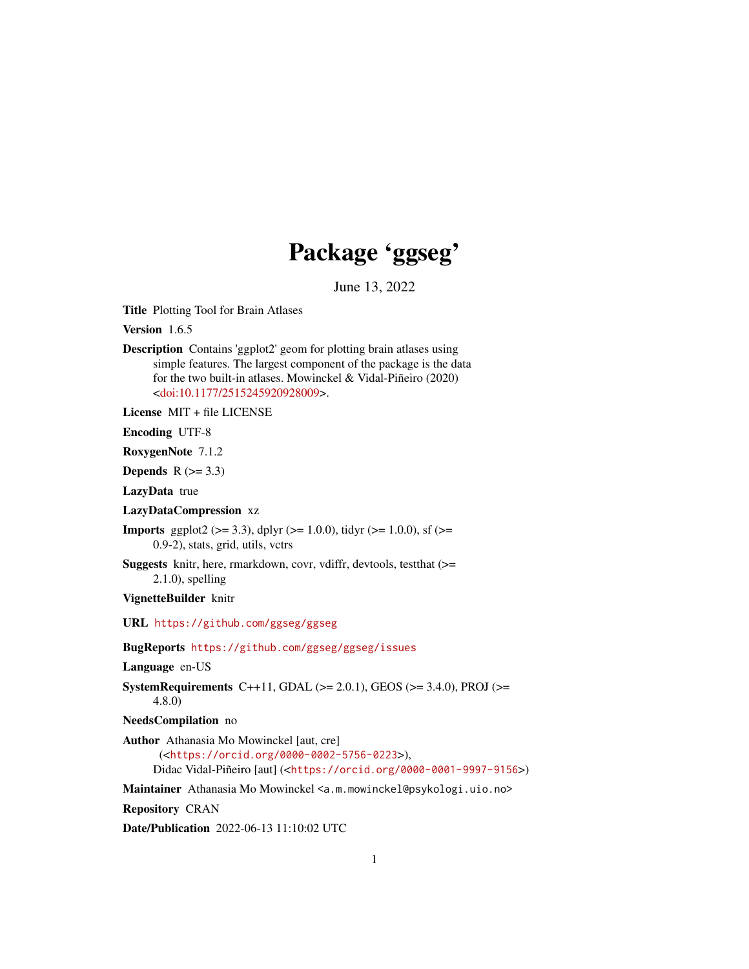## Package 'ggseg'

June 13, 2022

<span id="page-0-0"></span>Title Plotting Tool for Brain Atlases

Version 1.6.5

Description Contains 'ggplot2' geom for plotting brain atlases using simple features. The largest component of the package is the data for the two built-in atlases. Mowinckel & Vidal-Piñeiro (2020) [<doi:10.1177/2515245920928009>](https://doi.org/10.1177/2515245920928009).

License MIT + file LICENSE

Encoding UTF-8

RoxygenNote 7.1.2

Depends  $R$  ( $>= 3.3$ )

LazyData true

### LazyDataCompression xz

**Imports** ggplot2 ( $>= 3.3$ ), dplyr ( $>= 1.0.0$ ), tidyr ( $>= 1.0.0$ ), sf ( $>= 1.0$ 0.9-2), stats, grid, utils, vctrs

Suggests knitr, here, rmarkdown, covr, vdiffr, devtools, testthat (>= 2.1.0), spelling

VignetteBuilder knitr

URL <https://github.com/ggseg/ggseg>

BugReports <https://github.com/ggseg/ggseg/issues>

Language en-US

SystemRequirements C++11, GDAL ( $>= 2.0.1$ ), GEOS ( $>= 3.4.0$ ), PROJ ( $>=$ 4.8.0)

```
NeedsCompilation no
```
Author Athanasia Mo Mowinckel [aut, cre]

```
(<https://orcid.org/0000-0002-5756-0223>),
Didac Vidal-Piñeiro [aut] (<https://orcid.org/0000-0001-9997-9156>)
```
Maintainer Athanasia Mo Mowinckel <a.m.mowinckel@psykologi.uio.no>

Repository CRAN

Date/Publication 2022-06-13 11:10:02 UTC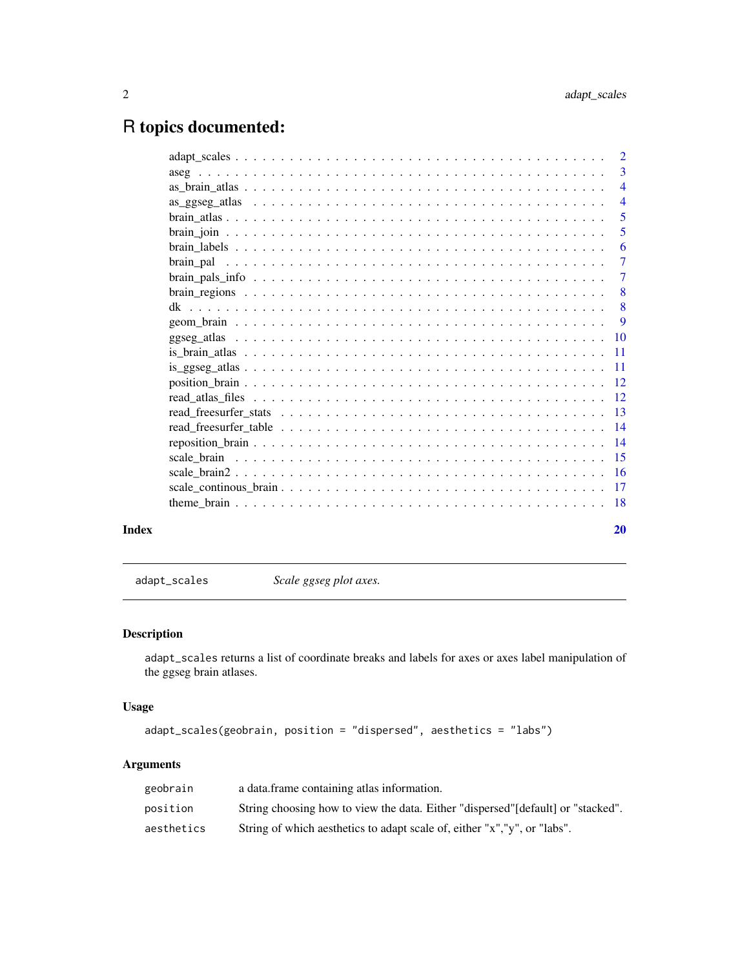## <span id="page-1-0"></span>R topics documented:

|       | $\overline{4}$ |
|-------|----------------|
|       | $\overline{5}$ |
|       | 5              |
|       | -6             |
|       | $\overline{7}$ |
|       | -7             |
|       |                |
|       |                |
|       |                |
|       |                |
|       |                |
|       |                |
|       |                |
|       |                |
|       |                |
|       |                |
|       |                |
|       |                |
|       |                |
|       |                |
|       |                |
| Index | 20             |

<span id="page-1-1"></span>adapt\_scales *Scale ggseg plot axes.*

### Description

adapt\_scales returns a list of coordinate breaks and labels for axes or axes label manipulation of the ggseg brain atlases.

### Usage

```
adapt_scales(geobrain, position = "dispersed", aesthetics = "labs")
```

| geobrain   | a data frame containing atlas information.                                       |
|------------|----------------------------------------------------------------------------------|
| position   | String choosing how to view the data. Either "dispersed" [default] or "stacked". |
| aesthetics | String of which aesthetics to adapt scale of, either "x", "y", or "labs".        |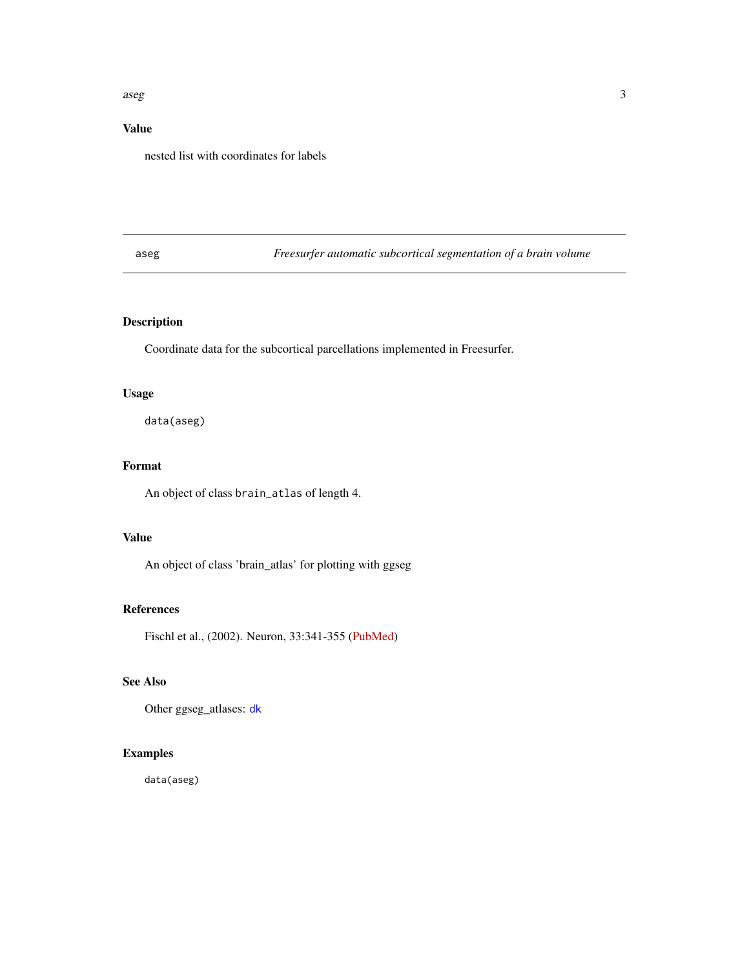### <span id="page-2-0"></span> $\mathbf{a}$ seg  $\mathbf{a}$

### Value

nested list with coordinates for labels

<span id="page-2-1"></span>aseg *Freesurfer automatic subcortical segmentation of a brain volume*

### Description

Coordinate data for the subcortical parcellations implemented in Freesurfer.

### Usage

data(aseg)

### Format

An object of class brain\_atlas of length 4.

### Value

An object of class 'brain\_atlas' for plotting with ggseg

#### References

Fischl et al., (2002). Neuron, 33:341-355 [\(PubMed\)](https://www.pubmed.ncbi.nlm.nih.gov/11832223)

### See Also

Other ggseg\_atlases: [dk](#page-7-1)

### Examples

data(aseg)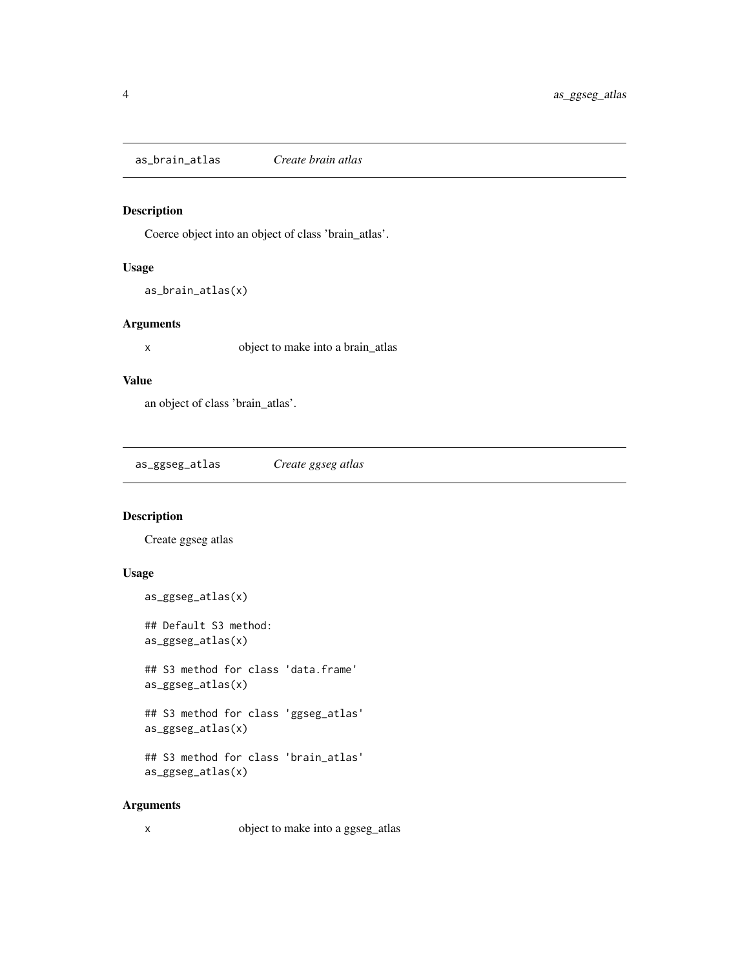<span id="page-3-0"></span>as\_brain\_atlas *Create brain atlas*

### Description

Coerce object into an object of class 'brain\_atlas'.

### Usage

as\_brain\_atlas(x)

### Arguments

x object to make into a brain\_atlas

#### Value

an object of class 'brain\_atlas'.

as\_ggseg\_atlas *Create ggseg atlas*

### Description

Create ggseg atlas

### Usage

```
as_ggseg_atlas(x)
## Default S3 method:
as_ggseg_atlas(x)
## S3 method for class 'data.frame'
as_ggseg_atlas(x)
## S3 method for class 'ggseg_atlas'
as_ggseg_atlas(x)
## S3 method for class 'brain_atlas'
as_ggseg_atlas(x)
```
### Arguments

x object to make into a ggseg\_atlas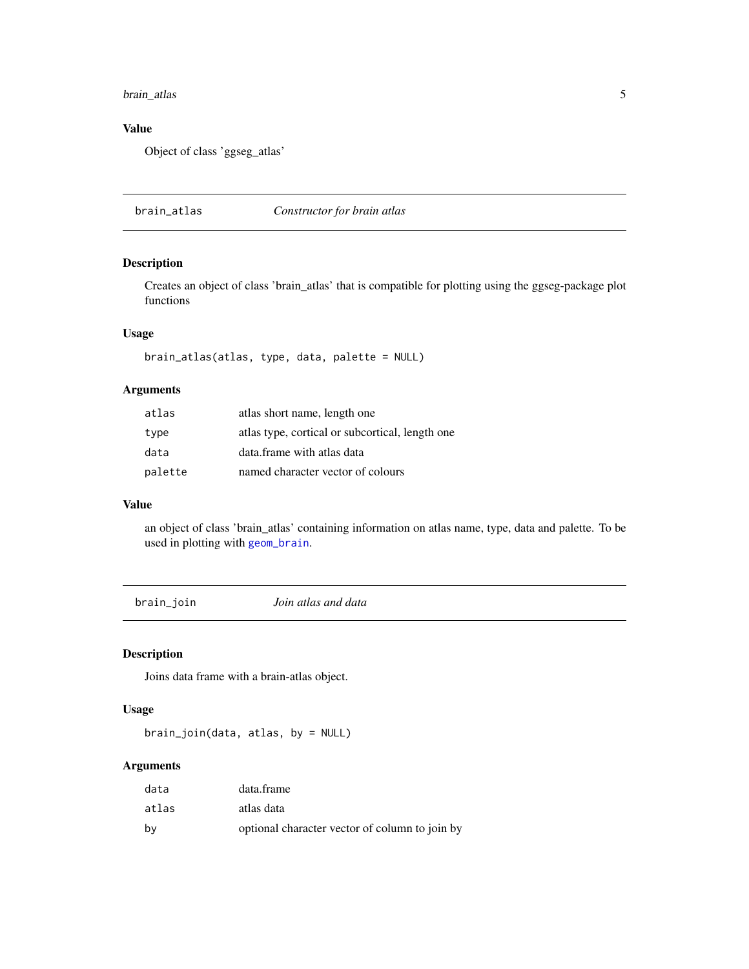### <span id="page-4-0"></span>brain\_atlas 5

### Value

Object of class 'ggseg\_atlas'

<span id="page-4-1"></span>brain\_atlas *Constructor for brain atlas*

### Description

Creates an object of class 'brain\_atlas' that is compatible for plotting using the ggseg-package plot functions

### Usage

```
brain_atlas(atlas, type, data, palette = NULL)
```
### Arguments

| atlas   | atlas short name, length one                    |
|---------|-------------------------------------------------|
| type    | atlas type, cortical or subcortical, length one |
| data    | data frame with atlas data                      |
| palette | named character vector of colours               |

### Value

an object of class 'brain\_atlas' containing information on atlas name, type, data and palette. To be used in plotting with [geom\\_brain](#page-8-1).

brain\_join *Join atlas and data*

### Description

Joins data frame with a brain-atlas object.

### Usage

brain\_join(data, atlas, by = NULL)

| data  | data.frame                                     |
|-------|------------------------------------------------|
| atlas | atlas data                                     |
| by    | optional character vector of column to join by |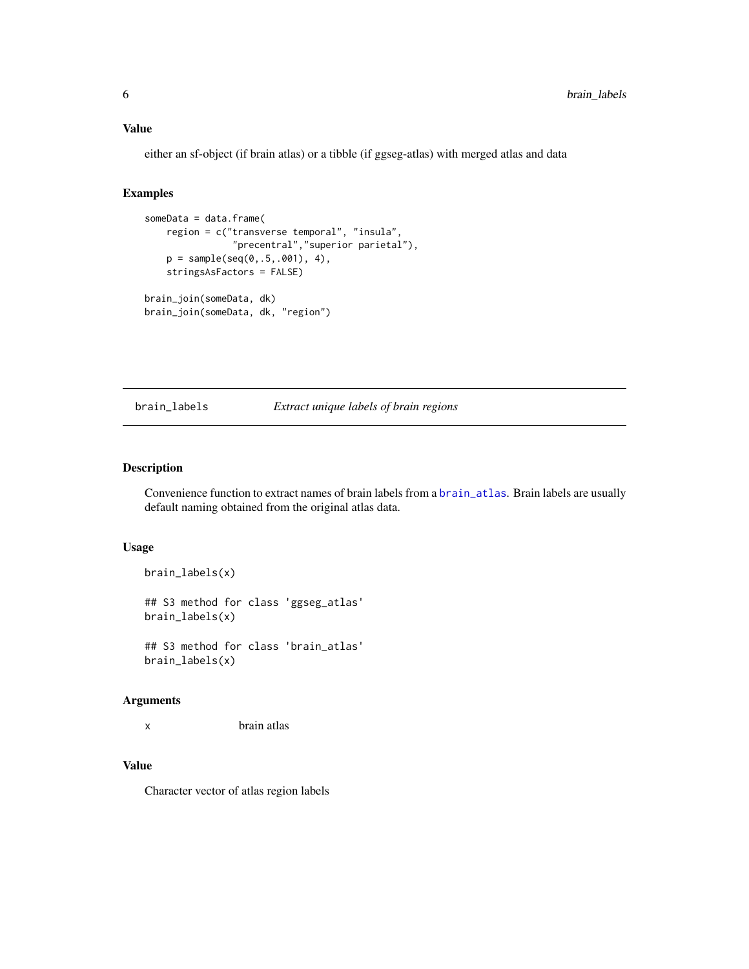<span id="page-5-0"></span>either an sf-object (if brain atlas) or a tibble (if ggseg-atlas) with merged atlas and data

#### Examples

```
someData = data.frame(
   region = c("transverse temporal", "insula",
                "precentral","superior parietal"),
    p = sample(seq(0,.5,.001), 4),
    stringsAsFactors = FALSE)
brain_join(someData, dk)
brain_join(someData, dk, "region")
```
#### brain\_labels *Extract unique labels of brain regions*

### Description

Convenience function to extract names of brain labels from a [brain\\_atlas](#page-4-1). Brain labels are usually default naming obtained from the original atlas data.

### Usage

```
brain_labels(x)
```
## S3 method for class 'ggseg\_atlas' brain\_labels(x)

## S3 method for class 'brain\_atlas' brain\_labels(x)

#### Arguments

x brain atlas

### Value

Character vector of atlas region labels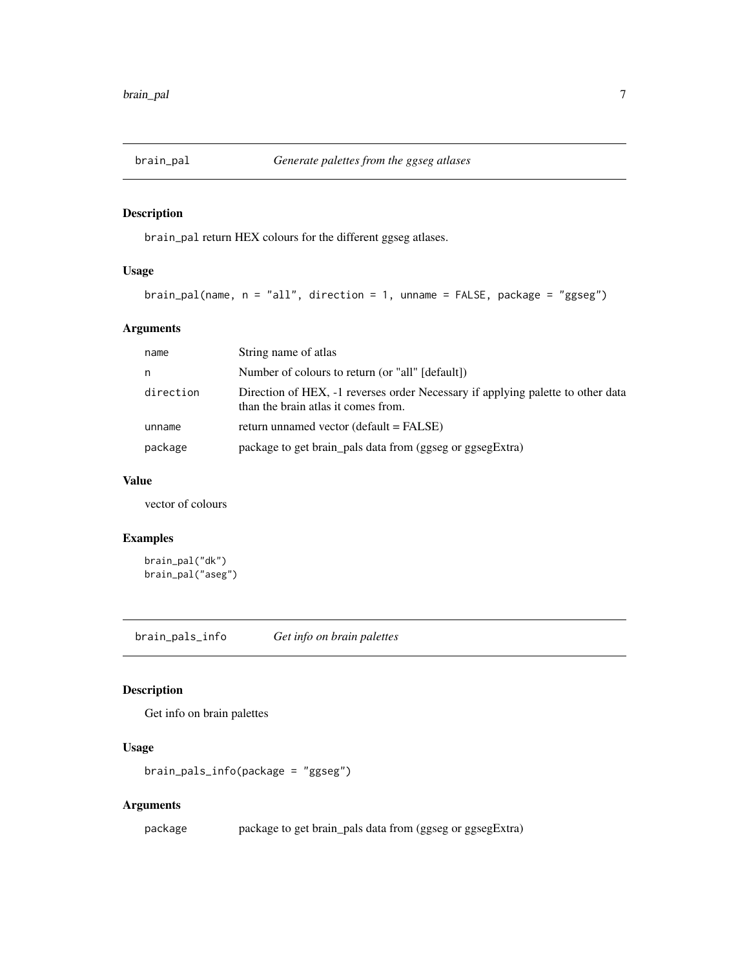<span id="page-6-1"></span><span id="page-6-0"></span>

### Description

brain\_pal return HEX colours for the different ggseg atlases.

### Usage

```
brain_pal(name, n = "all", direction = 1, unname = FALSE, package = "ggseg")
```
### Arguments

| name      | String name of atlas                                                                                                   |
|-----------|------------------------------------------------------------------------------------------------------------------------|
| n         | Number of colours to return (or "all" [default])                                                                       |
| direction | Direction of HEX, -1 reverses order Necessary if applying palette to other data<br>than the brain atlas it comes from. |
| unname    | return unnamed vector (default $=$ FALSE)                                                                              |
| package   | package to get brain_pals data from (ggseg or ggsegExtra)                                                              |

### Value

vector of colours

### Examples

brain\_pal("dk") brain\_pal("aseg")

brain\_pals\_info *Get info on brain palettes*

### Description

Get info on brain palettes

### Usage

```
brain_pals_info(package = "ggseg")
```
### Arguments

package package to get brain\_pals data from (ggseg or ggsegExtra)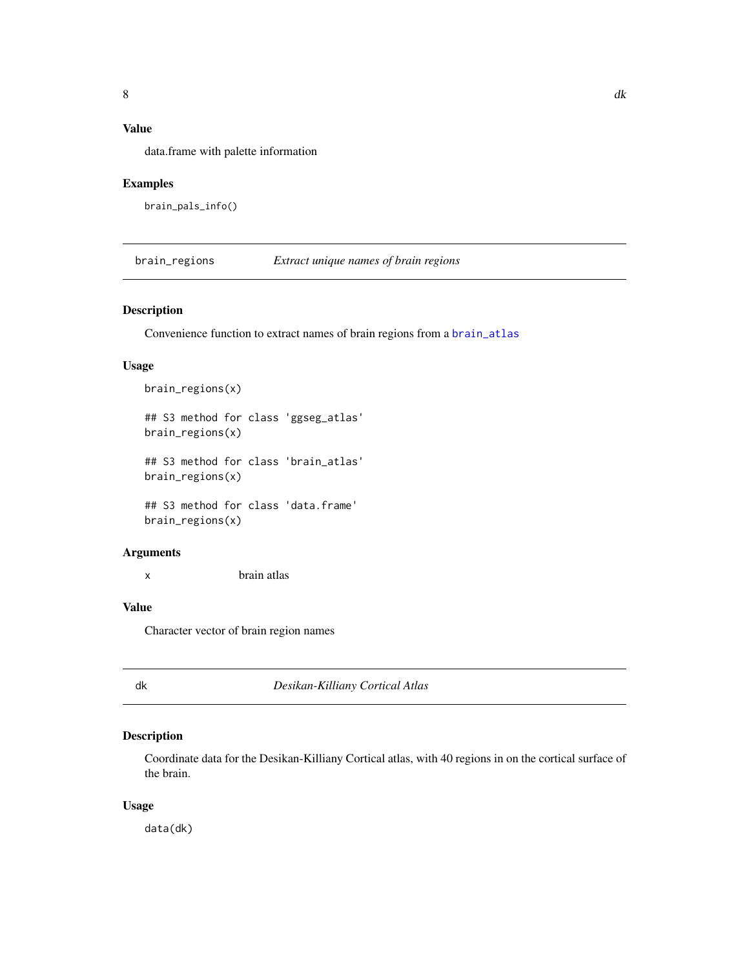<span id="page-7-0"></span>data.frame with palette information

### Examples

```
brain_pals_info()
```
brain\_regions *Extract unique names of brain regions*

### Description

Convenience function to extract names of brain regions from a [brain\\_atlas](#page-4-1)

### Usage

```
brain_regions(x)
## S3 method for class 'ggseg_atlas'
brain_regions(x)
## S3 method for class 'brain_atlas'
brain_regions(x)
## S3 method for class 'data.frame'
brain_regions(x)
```
### Arguments

x brain atlas

### Value

Character vector of brain region names

<span id="page-7-1"></span>

dk *Desikan-Killiany Cortical Atlas*

### Description

Coordinate data for the Desikan-Killiany Cortical atlas, with 40 regions in on the cortical surface of the brain.

### Usage

data(dk)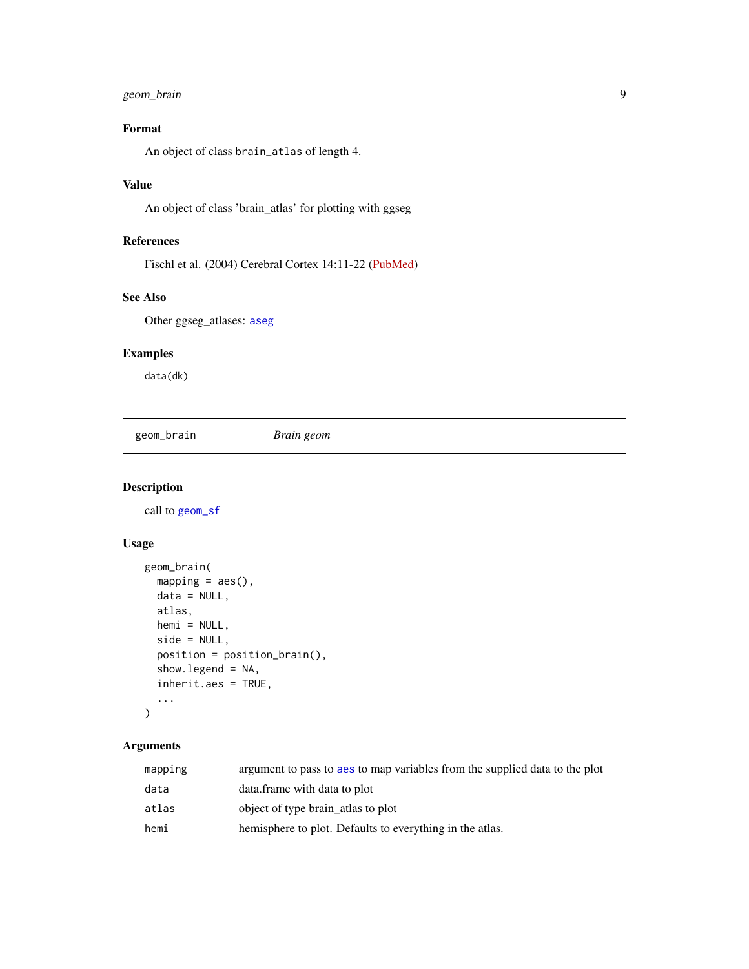### <span id="page-8-0"></span>geom\_brain 9

### Format

An object of class brain\_atlas of length 4.

### Value

An object of class 'brain\_atlas' for plotting with ggseg

### References

Fischl et al. (2004) Cerebral Cortex 14:11-22 [\(PubMed\)](https://academic.oup.com/cercor/article/14/1/11/433466)

### See Also

Other ggseg\_atlases: [aseg](#page-2-1)

### Examples

data(dk)

<span id="page-8-1"></span>geom\_brain *Brain geom*

### Description

call to [geom\\_sf](#page-0-0)

### Usage

```
geom_brain(
 mapping = acs(),data = NULL,atlas,
 hemi = NULL,
  side = NULL,
 position = position_brain(),
  show.legend = NA,
  inherit.aes = TRUE,
  ...
\mathcal{L}
```

| mapping | argument to pass to aes to map variables from the supplied data to the plot |
|---------|-----------------------------------------------------------------------------|
| data    | data.frame with data to plot                                                |
| atlas   | object of type brain_atlas to plot                                          |
| hemi    | hemisphere to plot. Defaults to everything in the atlas.                    |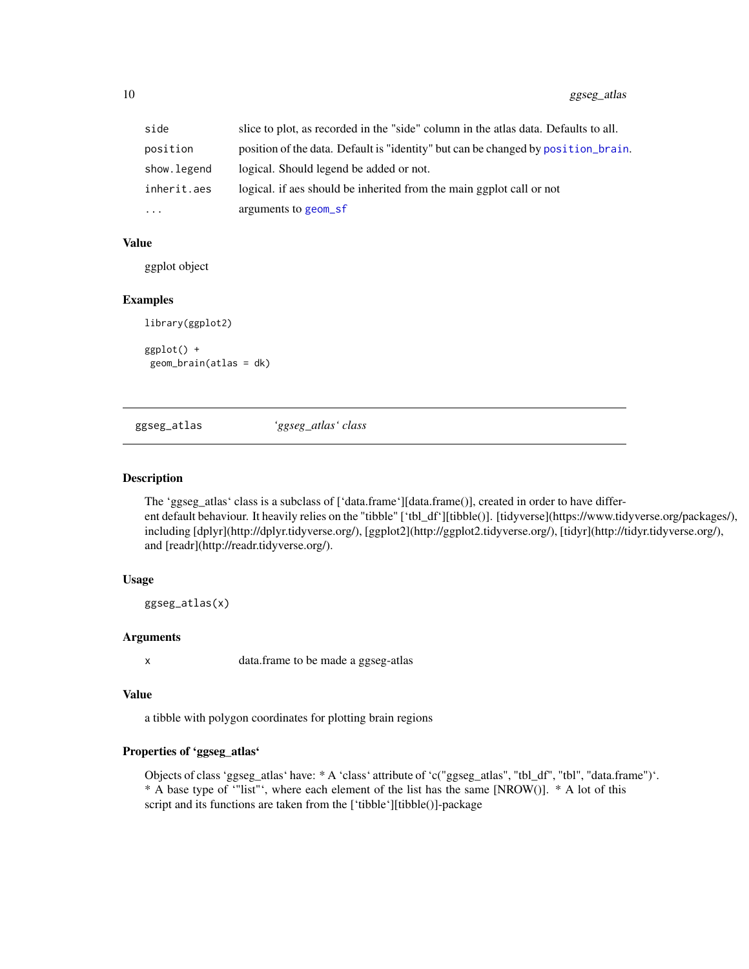<span id="page-9-0"></span>

| side        | slice to plot, as recorded in the "side" column in the atlas data. Defaults to all. |
|-------------|-------------------------------------------------------------------------------------|
| position    | position of the data. Default is "identity" but can be changed by position brain.   |
| show.legend | logical. Should legend be added or not.                                             |
| inherit.aes | logical, if as should be inherited from the main ggplot call or not                 |
| $\cdots$    | arguments to geom_sf                                                                |

ggplot object

#### Examples

```
library(ggplot2)
ggplot() +
geom_brain(atlas = dk)
```
ggseg\_atlas *'ggseg\_atlas' class*

### Description

The 'ggseg\_atlas' class is a subclass of ['data.frame'][data.frame()], created in order to have different default behaviour. It heavily relies on the "tibble" ['tbl\_df'][tibble()]. [tidyverse](https://www.tidyverse.org/packages/), including [dplyr](http://dplyr.tidyverse.org/), [ggplot2](http://ggplot2.tidyverse.org/), [tidyr](http://tidyr.tidyverse.org/), and [readr](http://readr.tidyverse.org/).

### Usage

ggseg\_atlas(x)

### Arguments

x data.frame to be made a ggseg-atlas

#### Value

a tibble with polygon coordinates for plotting brain regions

### Properties of 'ggseg\_atlas'

Objects of class 'ggseg\_atlas' have: \* A 'class' attribute of 'c("ggseg\_atlas", "tbl\_df", "tbl", "data.frame")'. \* A base type of '"list"', where each element of the list has the same [NROW()]. \* A lot of this script and its functions are taken from the ['tibble'][tibble()]-package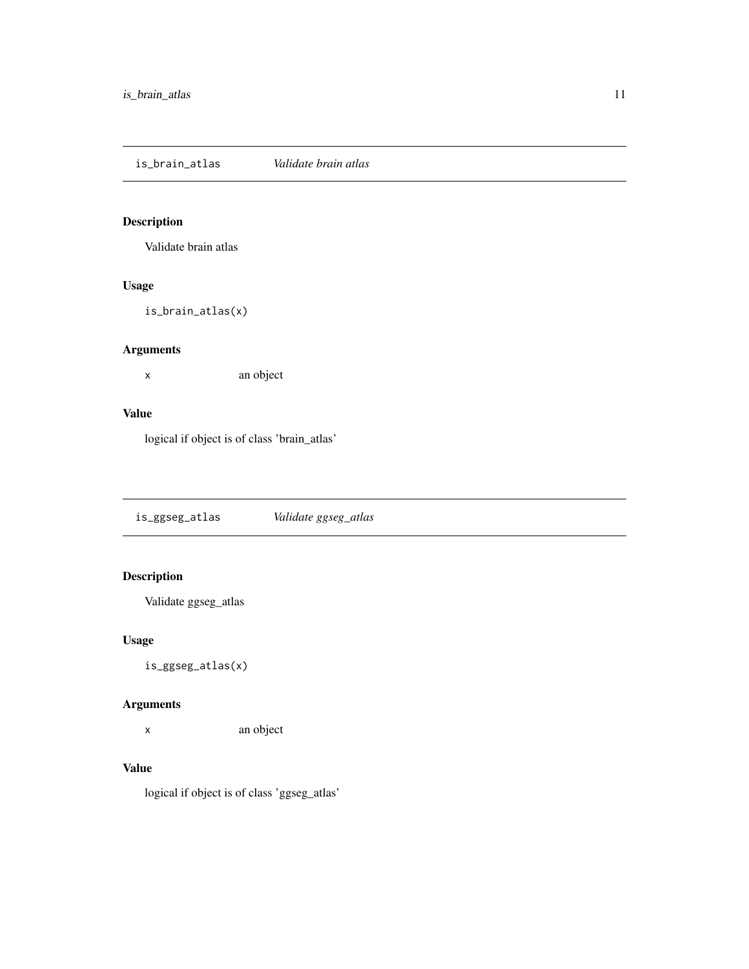<span id="page-10-0"></span>is\_brain\_atlas *Validate brain atlas*

### Description

Validate brain atlas

### Usage

is\_brain\_atlas(x)

### Arguments

x an object

### Value

logical if object is of class 'brain\_atlas'

is\_ggseg\_atlas *Validate ggseg\_atlas*

### Description

Validate ggseg\_atlas

### Usage

is\_ggseg\_atlas(x)

### Arguments

x an object

### Value

logical if object is of class 'ggseg\_atlas'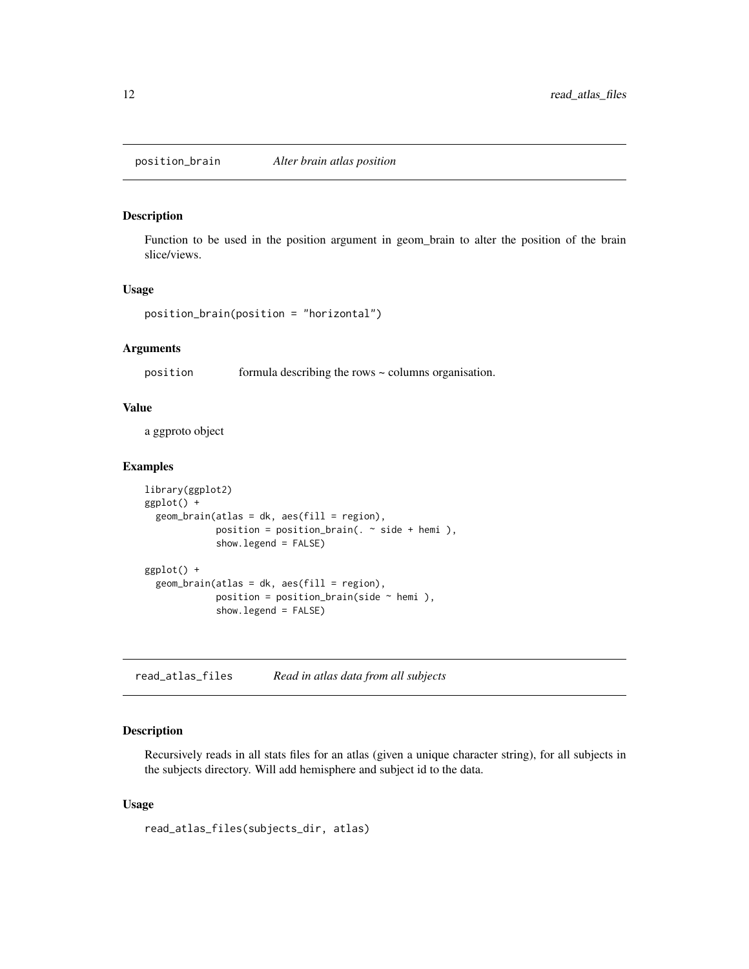<span id="page-11-1"></span><span id="page-11-0"></span>position\_brain *Alter brain atlas position*

### Description

Function to be used in the position argument in geom\_brain to alter the position of the brain slice/views.

#### Usage

position\_brain(position = "horizontal")

### Arguments

position formula describing the rows ~ columns organisation.

### Value

a ggproto object

### Examples

```
library(ggplot2)
ggplot() +
 geom\_brain( atlas = dk, aes(fill = region),position = position_brain(. ~ ~side + hemi),
             show.legend = FALSE)
ggplot() +
 geom_brain(atlas = dk, aes(fill = region),
             position = position_brain(side \sim hemi),
             show.legend = FALSE)
```
read\_atlas\_files *Read in atlas data from all subjects*

### Description

Recursively reads in all stats files for an atlas (given a unique character string), for all subjects in the subjects directory. Will add hemisphere and subject id to the data.

### Usage

read\_atlas\_files(subjects\_dir, atlas)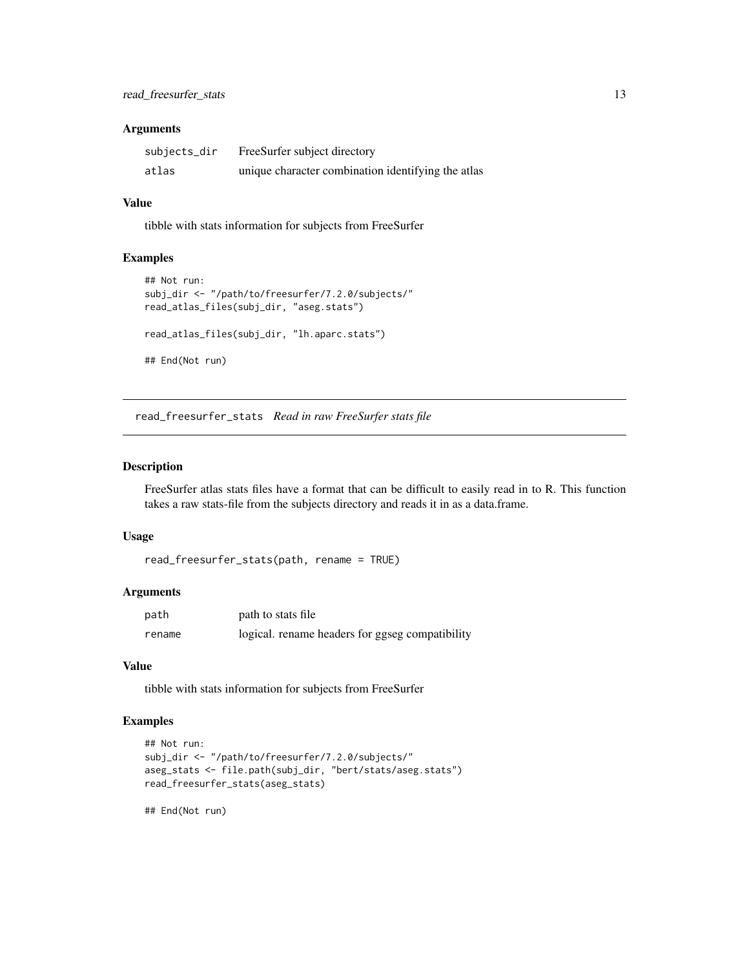### <span id="page-12-0"></span>Arguments

| subjects_dir | FreeSurfer subject directory                       |
|--------------|----------------------------------------------------|
| atlas        | unique character combination identifying the atlas |

#### Value

tibble with stats information for subjects from FreeSurfer

### Examples

```
## Not run:
subj_dir <- "/path/to/freesurfer/7.2.0/subjects/"
read_atlas_files(subj_dir, "aseg.stats")
read_atlas_files(subj_dir, "lh.aparc.stats")
## End(Not run)
```
read\_freesurfer\_stats *Read in raw FreeSurfer stats file*

### Description

FreeSurfer atlas stats files have a format that can be difficult to easily read in to R. This function takes a raw stats-file from the subjects directory and reads it in as a data.frame.

#### Usage

```
read_freesurfer_stats(path, rename = TRUE)
```
### Arguments

| path   | path to stats file                              |
|--------|-------------------------------------------------|
| rename | logical. rename headers for ggseg compatibility |

### Value

tibble with stats information for subjects from FreeSurfer

### Examples

```
## Not run:
subj_dir <- "/path/to/freesurfer/7.2.0/subjects/"
aseg_stats <- file.path(subj_dir, "bert/stats/aseg.stats")
read_freesurfer_stats(aseg_stats)
```
## End(Not run)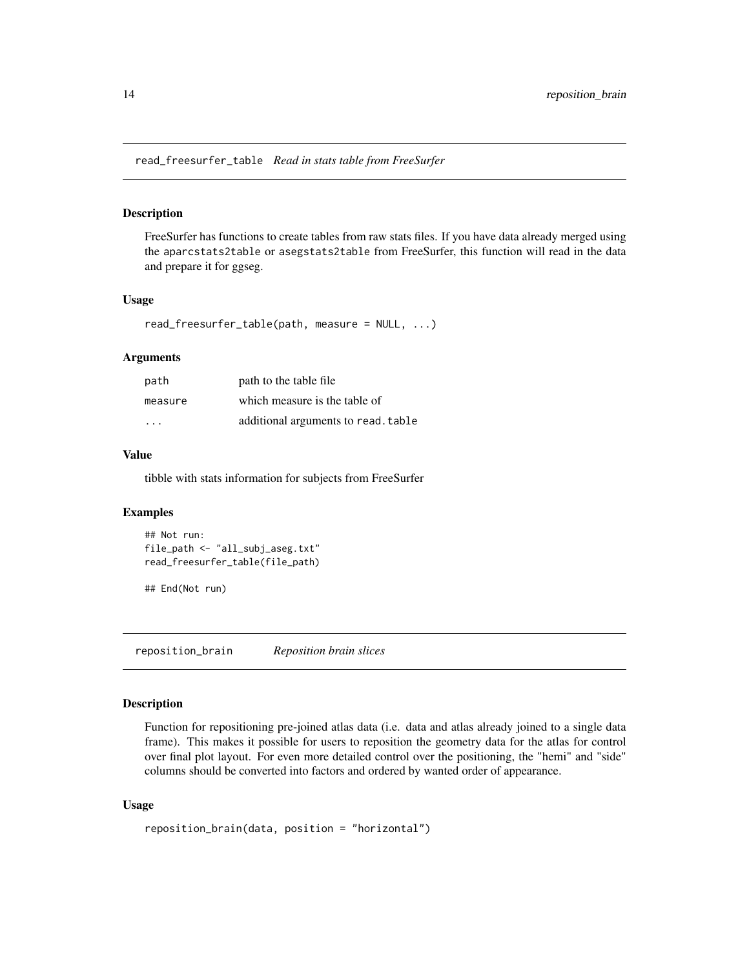<span id="page-13-0"></span>read\_freesurfer\_table *Read in stats table from FreeSurfer*

#### Description

FreeSurfer has functions to create tables from raw stats files. If you have data already merged using the aparcstats2table or asegstats2table from FreeSurfer, this function will read in the data and prepare it for ggseg.

#### Usage

read\_freesurfer\_table(path, measure = NULL, ...)

### Arguments

| path                    | path to the table file.             |
|-------------------------|-------------------------------------|
| measure                 | which measure is the table of       |
| $\cdot$ $\cdot$ $\cdot$ | additional arguments to read. table |

#### Value

tibble with stats information for subjects from FreeSurfer

### Examples

```
## Not run:
file_path <- "all_subj_aseg.txt"
read_freesurfer_table(file_path)
```
## End(Not run)

reposition\_brain *Reposition brain slices*

#### **Description**

Function for repositioning pre-joined atlas data (i.e. data and atlas already joined to a single data frame). This makes it possible for users to reposition the geometry data for the atlas for control over final plot layout. For even more detailed control over the positioning, the "hemi" and "side" columns should be converted into factors and ordered by wanted order of appearance.

### Usage

```
reposition_brain(data, position = "horizontal")
```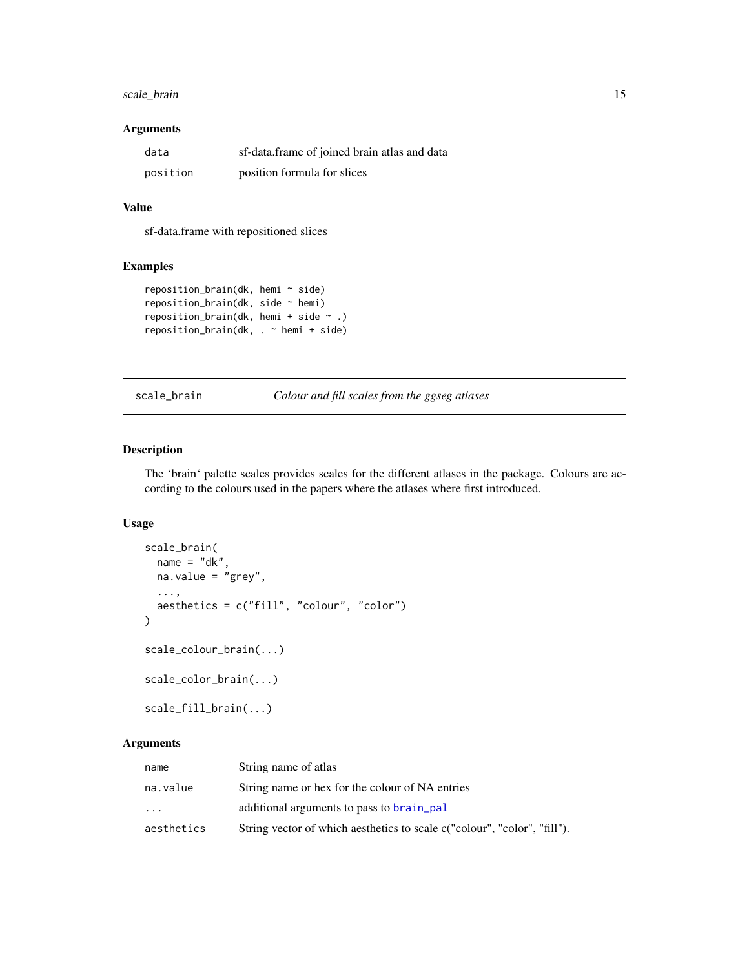### <span id="page-14-0"></span>scale\_brain 15

### Arguments

| data     | sf-data.frame of joined brain atlas and data |
|----------|----------------------------------------------|
| position | position formula for slices                  |

### Value

sf-data.frame with repositioned slices

### Examples

```
reposition_brain(dk, hemi ~ side)
reposition_brain(dk, side ~ hemi)
reposition_brain(dk, hemi + side ~ .)
reposition_brain(dk, . ~ hemi + side)
```
scale\_brain *Colour and fill scales from the ggseg atlases*

### Description

The 'brain' palette scales provides scales for the different atlases in the package. Colours are according to the colours used in the papers where the atlases where first introduced.

### Usage

```
scale_brain(
 name = "dk",na.value = "grey",
  ...,
 aesthetics = c("fill", "colour", "color")
)
scale_colour_brain(...)
scale_color_brain(...)
scale_fill_brain(...)
```

| name       | String name of atlas                                                     |
|------------|--------------------------------------------------------------------------|
| na.value   | String name or hex for the colour of NA entries                          |
| $\cdots$   | additional arguments to pass to brain_pal                                |
| aesthetics | String vector of which aesthetics to scale c("colour", "color", "fill"). |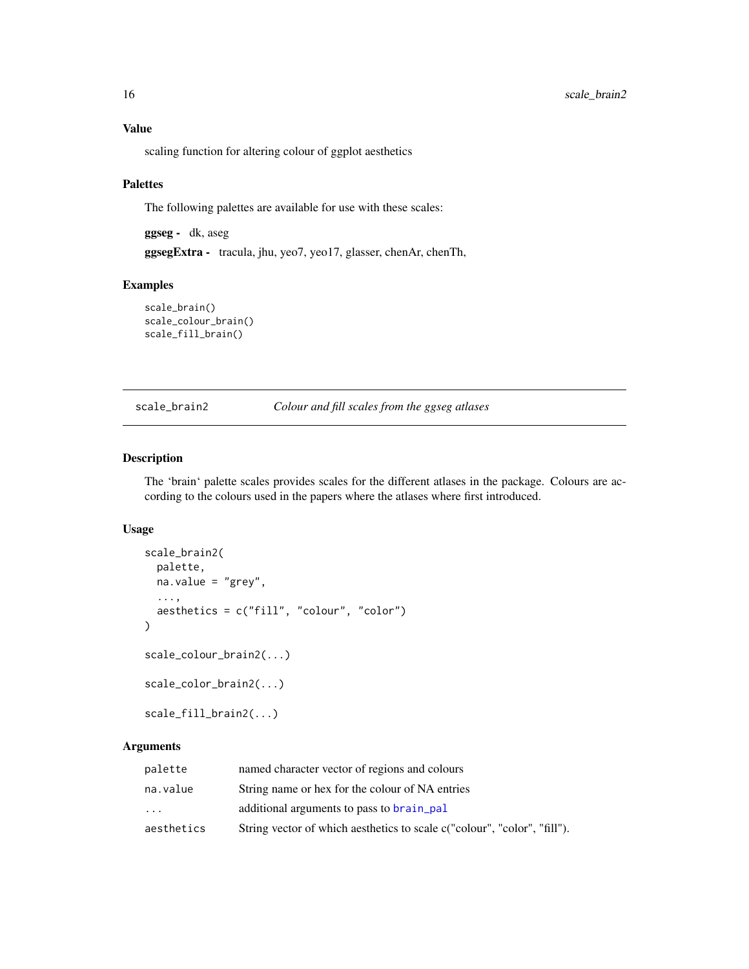<span id="page-15-0"></span>scaling function for altering colour of ggplot aesthetics

### Palettes

The following palettes are available for use with these scales:

ggseg - dk, aseg

ggsegExtra - tracula, jhu, yeo7, yeo17, glasser, chenAr, chenTh,

### Examples

```
scale_brain()
scale_colour_brain()
scale_fill_brain()
```
scale\_brain2 *Colour and fill scales from the ggseg atlases*

### Description

The 'brain' palette scales provides scales for the different atlases in the package. Colours are according to the colours used in the papers where the atlases where first introduced.

### Usage

```
scale_brain2(
 palette,
 na.value = "grey",
  ...,
  aesthetics = c("fill", "colour", "color")
\mathcal{E}scale_colour_brain2(...)
scale_color_brain2(...)
scale_fill_brain2(...)
```

| palette    | named character vector of regions and colours                            |
|------------|--------------------------------------------------------------------------|
| na.value   | String name or hex for the colour of NA entries                          |
| $\cdot$    | additional arguments to pass to brain_pal                                |
| aesthetics | String vector of which aesthetics to scale c("colour", "color", "fill"). |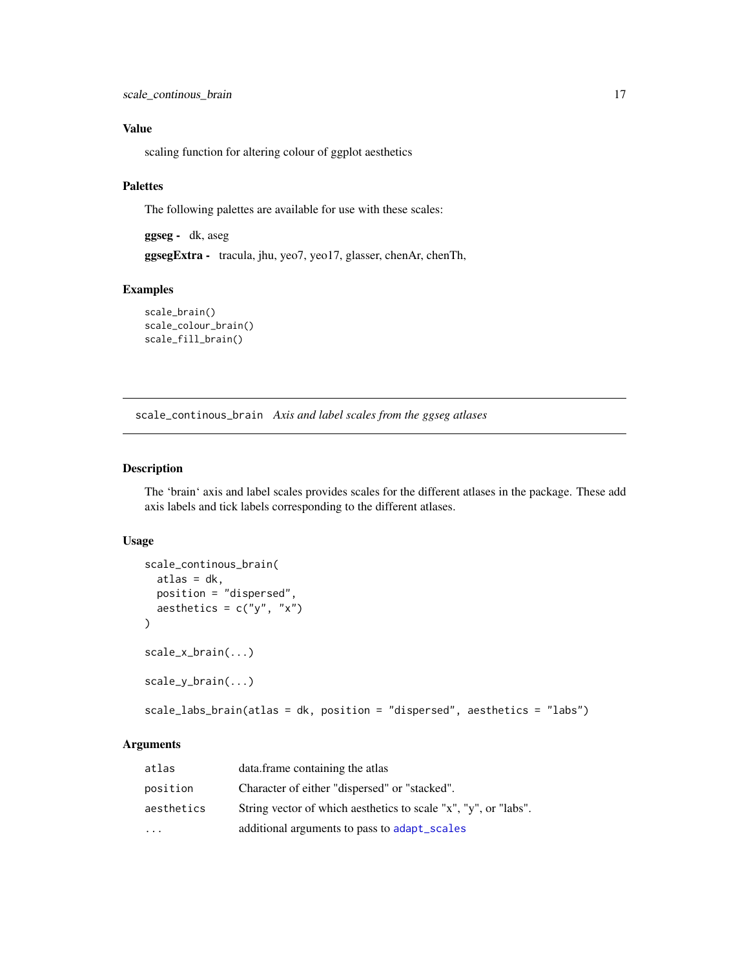<span id="page-16-0"></span>scaling function for altering colour of ggplot aesthetics

### Palettes

The following palettes are available for use with these scales:

ggseg - dk, aseg

ggsegExtra - tracula, jhu, yeo7, yeo17, glasser, chenAr, chenTh,

### Examples

```
scale_brain()
scale_colour_brain()
scale_fill_brain()
```
scale\_continous\_brain *Axis and label scales from the ggseg atlases*

### Description

The 'brain' axis and label scales provides scales for the different atlases in the package. These add axis labels and tick labels corresponding to the different atlases.

### Usage

```
scale_continous_brain(
  atlas = dk,
 position = "dispersed",
  aesthetics = c("y", "x")\lambdascale_x_brain(...)
scale_y_brain(...)
scale_labs_brain(atlas = dk, position = "dispersed", aesthetics = "labs")
```

| atlas      | data.frame containing the atlas                                 |
|------------|-----------------------------------------------------------------|
| position   | Character of either "dispersed" or "stacked".                   |
| aesthetics | String vector of which aesthetics to scale "x", "y", or "labs". |
| $\ddotsc$  | additional arguments to pass to adapt_scales                    |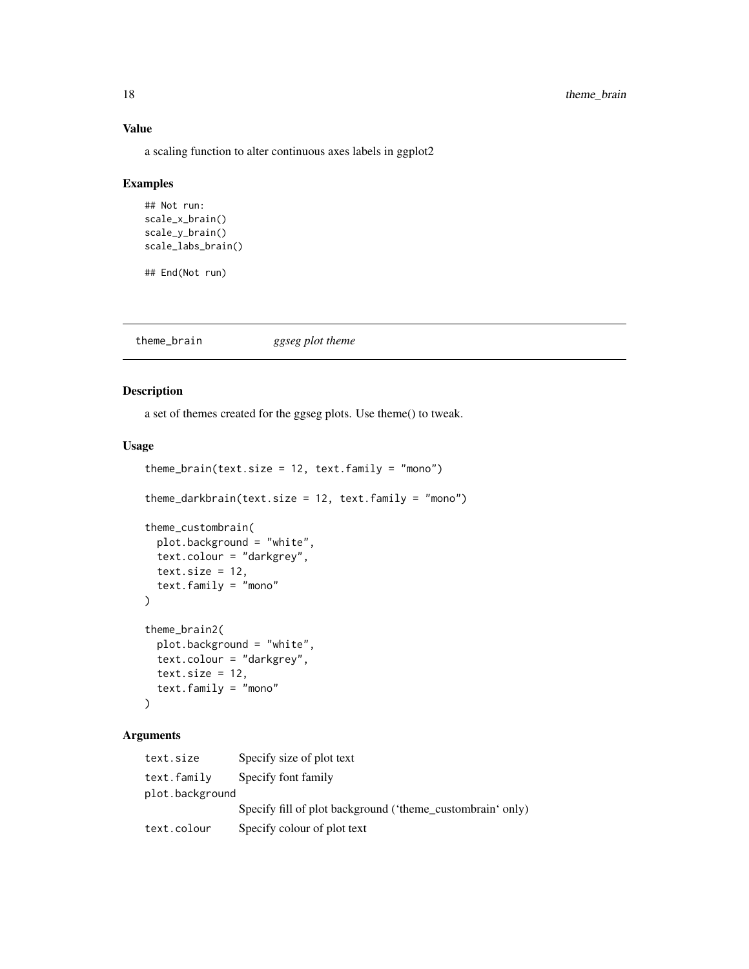a scaling function to alter continuous axes labels in ggplot2

#### Examples

```
## Not run:
scale_x_brain()
scale_y_brain()
scale_labs_brain()
```
## End(Not run)

theme\_brain *ggseg plot theme*

### Description

a set of themes created for the ggseg plots. Use theme() to tweak.

### Usage

```
theme_brain(text.size = 12, text.family = "mono")
theme_darkbrain(text.size = 12, text.family = "mono")
theme_custombrain(
 plot.background = "white",
  text.colour = "darkgrey",
  text.size = 12,text.family = "mono"
)
theme_brain2(
 plot.background = "white",
  text.colour = "darkgrey",
 text.size = 12,
  text.family = "mono"
\mathcal{L}
```

| text.size       | Specify size of plot text                                  |
|-----------------|------------------------------------------------------------|
| text.family     | Specify font family                                        |
| plot.background |                                                            |
|                 | Specify fill of plot background ('theme_custombrain' only) |
| text.colour     | Specify colour of plot text                                |

<span id="page-17-0"></span>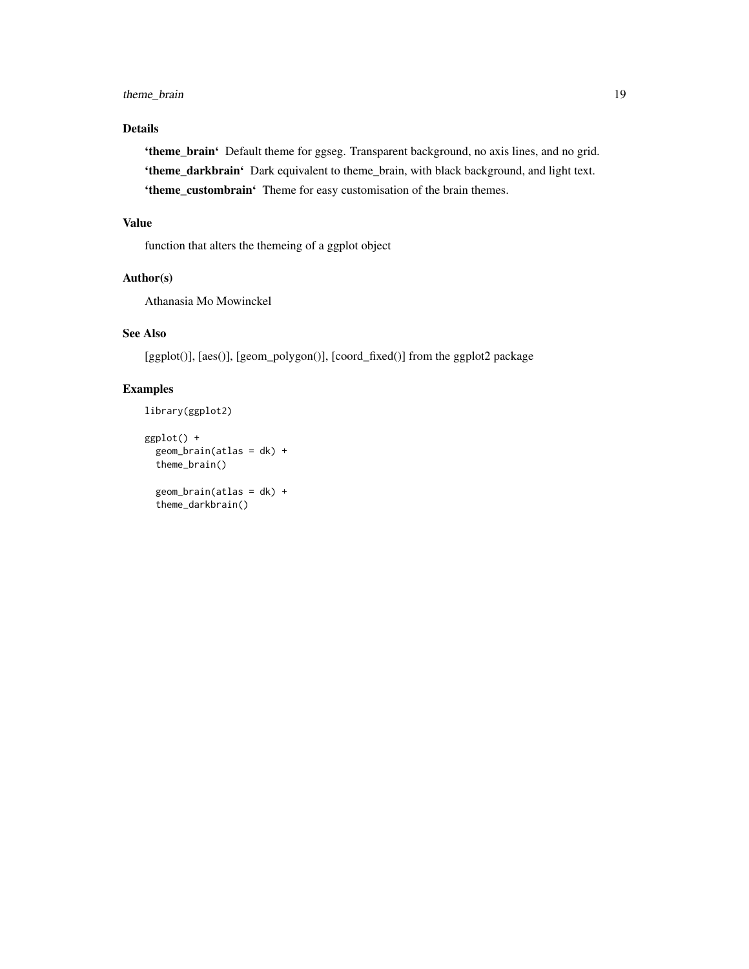### Details

'theme\_brain' Default theme for ggseg. Transparent background, no axis lines, and no grid. 'theme\_darkbrain' Dark equivalent to theme\_brain, with black background, and light text. 'theme\_custombrain' Theme for easy customisation of the brain themes.

### Value

function that alters the themeing of a ggplot object

### Author(s)

Athanasia Mo Mowinckel

### See Also

[ggplot()], [aes()], [geom\_polygon()], [coord\_fixed()] from the ggplot2 package

### Examples

```
library(ggplot2)
ggplot() +
  geom_brain(atlas = dk) +
  theme_brain()
```

```
geom\_brain(atlas = dk) +
theme_darkbrain()
```